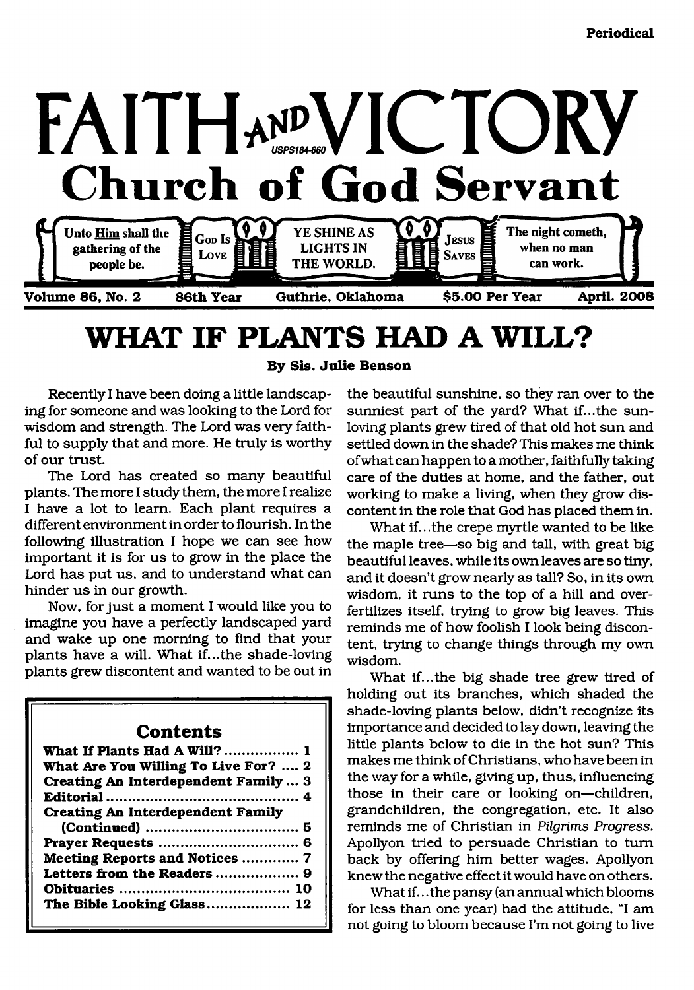

# <span id="page-0-0"></span>**WHAT IF PLANTS HAD A WILL?**

**By Sis. Julie Benson**

Recently I have been doing a little landscaping for someone and was looking to the Lord for wisdom and strength. The Lord was very faithful to supply that and more. He truly is worthy of our trust.

The Lord has created so many beautiful plants. The more I study them, the more I realize I have a lot to learn. Each plant requires a different environment in order to flourish. In the following illustration I hope we can see how important it is for us to grow in the place the Lord has put us, and to understand what can hinder us in our growth.

Now, for just a moment I would like you to imagine you have a perfectly landscaped yard and wake up one morning to find that your plants have a will. What if...the shade-loving plants grew discontent and wanted to be out in

#### **Contents**

| What If Plants Had A Will?  1        |
|--------------------------------------|
| What Are You Willing To Live For?  2 |
| Creating An Interdependent Family  3 |
|                                      |
| Creating An Interdependent Family    |
|                                      |
|                                      |
| Meeting Reports and Notices  7       |
|                                      |
|                                      |
| The Bible Looking Glass 12           |

the beautiful sunshine, so they ran over to the sunniest part of the yard? What if...the sunloving plants grew tired of that old hot sun and settled down in the shade? This makes me think of what can happen to a mother, faithfully taking care of the duties at home, and the father, out working to make a living, when they grow discontent in the role that God has placed them in.

What if...the crepe myrtle wanted to be like the maple tree—so big and tall, with great big beautiful leaves, while its own leaves are so tiny, and it doesn't grow nearly as tall? So, in its own wisdom, it runs to the top of a hill and overfertilizes itself, trying to grow big leaves. This reminds me of how foolish I look being discontent, trying to change things through my own wisdom.

What if...the big shade tree grew tired of holding out its branches, which shaded the shade-loving plants below, didn't recognize its importance and decided to lay down, leaving the little plants below to die in the hot sun? This makes me think of Christians, who have been in the way for a while, giving up, thus, influencing those in their care or looking on—children, grandchildren, the congregation, etc. It also reminds me of Christian in *Pilgrims Progress.* Apollyon tried to persuade Christian to turn back by offering him better wages. Apollyon knew the negative effect it would have on others.

What if.. .the pansy (an annual which blooms for less than one year) had the attitude, "I am not going to bloom because I'm not going to live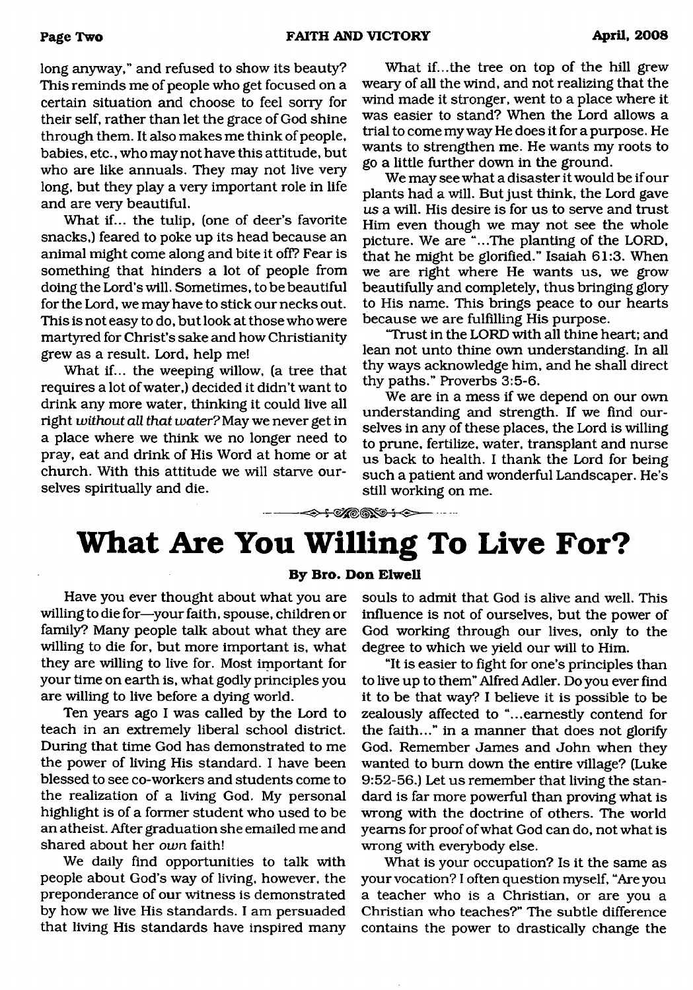long anyway," and refused to show its beauty? This reminds me of people who get focused on a certain situation and choose to feel sorry for their self, rather than let the grace of God shine through them. It also makes me think of people, babies, etc., who may not have this attitude, but who are like annuals. They may not live very long, but they play a very important role in life and are very beautiful.

What if... the tulip, (one of deer's favorite snacks,) feared to poke up its head because an animal might come along and bite it off? Fear is something that hinders a lot of people from doing the Lord's will. Sometimes, to be beautiful for the Lord, we may have to stick our necks out. This is not easy to do, but look at those who were martyred for Christ's sake and how Christianity grew as a result. Lord, help me!

What if... the weeping willow, (a tree that requires a lot of water,) decided it didn't want to drink any more water, thinking it could live all right *without all that water?* May we never get in a place where we think we no longer need to pray, eat and drink of His Word at home or at church. With this attitude we will starve ourselves spiritually and die.

What if...the tree on top of the hill grew weary of all the wind, and not realizing that the wind made it stronger, went to a place where it was easier to stand? When the Lord allows a trial to come my way He does it for a purpose. He wants to strengthen me. He wants my roots to go a little further down in the ground.

We may see what a disaster it would be if our plants had a will. But just think, the Lord gave *us* a will. His desire is for us to serve and trust Him even though we may not see the whole picture. We are "...The planting of the LORD, that he might be glorified." Isaiah 61:3. When we are right where He wants us, we grow beautifully and completely, thus bringing glory to His name. This brings peace to our hearts because we are fulfilling His purpose.

"Trust in the LORD with all thine heart; and lean not unto thine own understanding. In all thy ways acknowledge him, and he shall direct thy paths." Proverbs 3:5-6.

We are in a mess if we depend on our own understanding and strength. If we find ourselves in any of these places, the Lord is willing to prune, fertilize, water, transplant and nurse us back to health. I thank the Lord for being such a patient and wonderful Landscaper. He's still working on me.

------------------- — ---------------------------------------------------------------------------

# <span id="page-1-0"></span>**What Are You Willing To Live For?**

#### **By Bro. Don Elwell**

Have you ever thought about what you are willing to die for—your faith, spouse, children or family? Many people talk about what they are willing to die for, but more important is, what they are willing to live for. Most important for your time on earth is, what godly principles you are willing to live before a dying world.

Ten years ago I was called by the Lord to teach in an extremely liberal school district. During that time God has demonstrated to me the power of living His standard. I have been blessed to see co-workers and students come to the realization of a living God. My personal highlight is of a former student who used to be an atheist. After graduation she emailed me and shared about her *own* faith!

We daily find opportunities to talk with people about God's way of living, however, the preponderance of our witness is demonstrated by how we live His standards. I am persuaded that living His standards have inspired many

souls to admit that God is alive and well. This influence is not of ourselves, but the power of God working through our lives, only to the degree to which we yield our will to Him.

"It is easier to fight for one's principles than to live up to them" Alfred Adler. Do you ever find it to be that way? I believe it is possible to be zealously affected to "...earnestly contend for the faith..." in a manner that does not glorify God. Remember James and John when they wanted to bum down the entire village? (Luke 9:52-56.) Let us remember that living the standard is far more powerful than proving what is wrong with the doctrine of others. The world yearns for proof of what God can do, not what is wrong with everybody else.

What is your occupation? Is it the same as your vocation? I often question myself, "Are you a teacher who is a Christian, or are you a Christian who teaches?" The subtle difference contains the power to drastically change the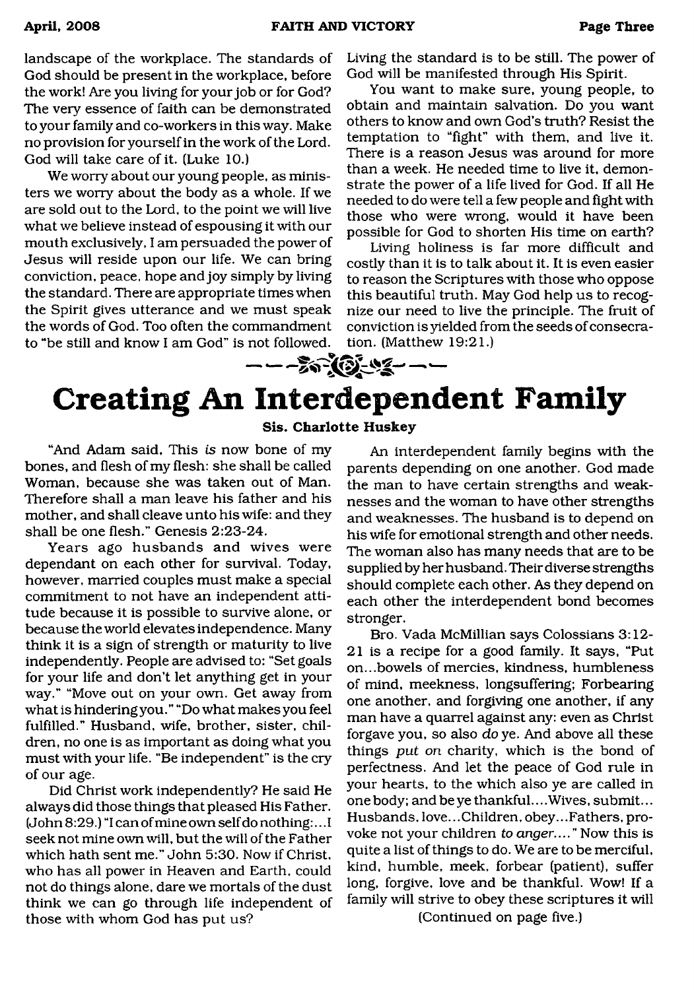landscape of the workplace. The standards of God should be present in the workplace, before the work! Are you living for your job or for God? The very essence of faith can be demonstrated to your family and co-workers in this way. Make no provision for yourself in the work of the Lord. God will take care of it. (Luke 10.)

We worry about our young people, as ministers we worry about the body as a whole. If we are sold out to the Lord, to the point we will live what we believe instead of espousing it with our mouth exclusively, I am persuaded the power of Jesus will reside upon our life. We can bring conviction, peace, hope and joy simply by living the standard. There are appropriate times when the Spirit gives utterance and we must speak the words of God. Too often the commandment to "be still and know I am God" is not followed.

Living the standard is to be still. The power of God will be manifested through His Spirit.

You want to make sure, young people, to obtain and maintain salvation. Do you want others to know and own God's truth? Resist the temptation to "fight" with them, and live it. There is a reason Jesus was around for more than a week. He needed time to live it, demonstrate the power of a life lived for God. If all He needed to do were tell a few people and fight with those who were wrong, would it have been possible for God to shorten His time on earth?

Living holiness is far more difficult and costly than it is to talk about it. It is even easier to reason the Scriptures with those who oppose this beautiful truth. May God help us to recognize our need to live the principle. The fruit of conviction is yielded from the seeds of consecration. (Matthew 19:21.)

# **Creating An Interdependent Family Sis. Charlotte Huskey**

"And Adam said, This *is* now bone of my bones, and flesh of my flesh: she shall be called Woman, because she was taken out of Man. Therefore shall a man leave his father and his mother, and shall cleave unto his wife: and they shall be one flesh." Genesis 2:23-24.

Years ago husbands and wives were dependant on each other for survival. Today, however, married couples must make a special commitment to not have an independent attitude because it is possible to survive alone, or because the world elevates independence. Many think it is a sign of strength or maturity to live independently. People are advised to: "Set goals for your life and don't let anything get in your way." "Move out on your own. Get away from what is hindering you." "Do what makes you feel fulfilled." Husband, wife, brother, sister, children, no one is as important as doing what you must with your life. "Be independent" is the cry of our age.

Did Christ work independently? He said He always did those things that pleased His Father. (John 8:29.) "I can of mine own self do nothing:.. .1 seek not mine own will, but the will of the Father which hath sent me." John 5:30. Now if Christ, who has all power in Heaven and Earth, could not do things alone, dare we mortals of the dust think we can go through life independent of those with whom God has put us?

An interdependent family begins with the parents depending on one another. God made the man to have certain strengths and weaknesses and the woman to have other strengths and weaknesses. The husband is to depend on his wife for emotional strength and other needs. The woman also has many needs that are to be supplied by her husband. Their diverse strengths should complete each other. As they depend on each other the interdependent bond becomes stronger.

Bro. Vada McMillian says Colossians 3:12- 21 is a recipe for a good family. It says, "Put on...bowels of mercies, kindness, humbleness of mind, meekness, longsuffering; Forbearing one another, and forgiving one another, if any man have a quarrel against any: even as Christ forgave you, so also *do* ye. And above all these things *put on* charity, which is the bond of perfectness. And let the peace of God rule in your hearts, to the which also ye are called in one body; and be ye thankful... .Wives, submit... Husbands, love... Children, obey...Fathers, provoke not your children to *anger...."* Now this is quite a list of things to do. We are to be merciful, kind, humble, meek, forbear (patient), suffer long, forgive, love and be thankful. Wow! If a family will strive to obey these scriptures it will

(Continued on page five.)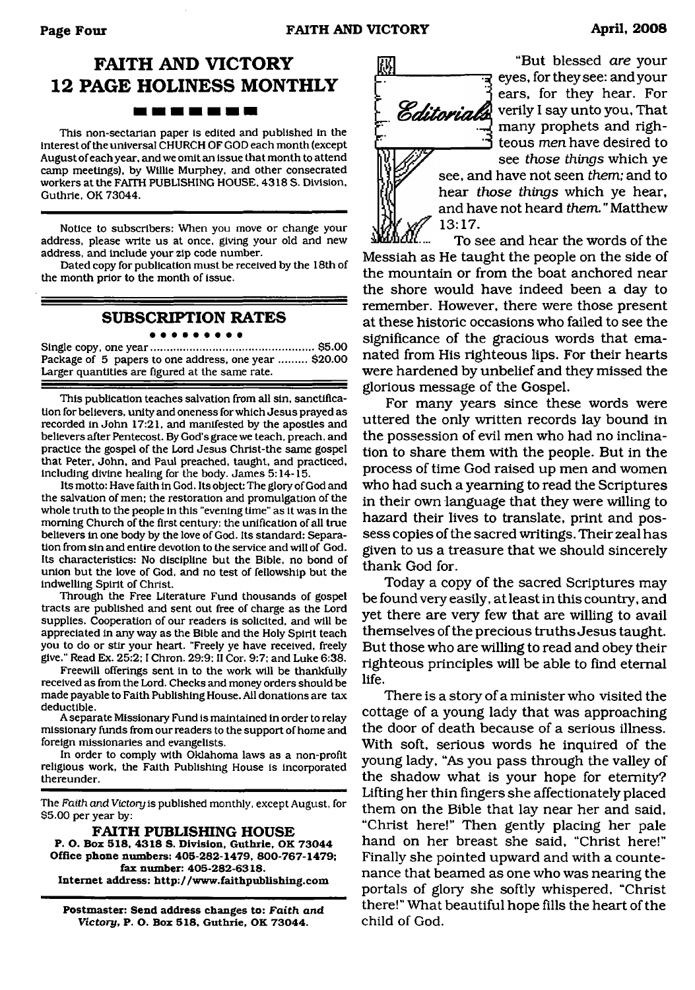### **FAITH AND VICTORY 12 PAGE HOLINESS MONTHLY** <u> In In 10 in 10 in 11</u>

This non-sectarian paper is edited and published in the interest of the universal CHURCH OF GOD each month (except August of each year, and we omit an issue that month to attend camp meetings), by Willie Murphey, and other consecrated workers at the FAITH PUBLISHING HOUSE. 4318 S. Division, Guthrie, OK 73044.

Notice to subscribers: When you move or change your address, please write us at once, giving your old and new address, and include your zip code number.

Dated copy for publication must be received by the 18th of the month prior to the month of issue.

#### **SUBSCRIPTION RATES**

Single copy, one year......................................................\$5.00 Package of 5 papers to one address, one year ......... \$20.00 Larger quantities are figured at the same rate.

This publication teaches salvation from all sin, sanctification for believers, unity and oneness for which Jesus prayed as recorded in John 17:21, and manifested by the apostles and believers after Pentecost. By God's grace we teach, preach, and practice the gospel of the Lord Jesus Christ-the same gospel that Peter, John, and Paul preached, taught, and practiced, including divine healing for the body. James 5:14-15.

Its motto: Have faith in God. Its object: The glory of God and the salvation of men; the restoration and promulgation of the whole truth to the people in this "evening time" as it was in the morning Church of the first century: the unification of all true believers in one body by the love of God. Its standard: Separation from sin and entire devotion to the service and will of God. Its characteristics: No discipline but the Bible, no bond of union but the love of God, and no test of fellowship but the indwelling Spirit of Christ.

Through the Free Literature Fund thousands of gospel tracts are published and sent out free of charge as the Lord supplies. Cooperation of our readers is solicited, and will be appreciated in any way as the Bible and the Holy Spirit teach you to do or stir your heart. "Freely ye have received, freely give." Read Ex. 25:2; I Chron. 29:9: II Cor. 9:7; and Luke 6:38.

Freewill offerings sent in to the work will be thankfully received as from the Lord. Checks and money orders should be made payable to Faith Publishing House. All donations are tax deductible.

A separate Missionary Fund is maintained in order to relay missionary funds from our readers to the support of home and foreign missionaries and evangelists.

In order to comply with Oklahoma laws as a non-profit religious work, the Faith Publishing House is incorporated thereunder.

The *Faith and Victory* is published monthly, except August, for \$5.00 per year by:

**FAITH PUBLISHING HOUSE P. O. Box 518, 4318 S. Division, Guthrie, OK 73044 Office phone numbers: 405-282-1479, 800-767-1479; fax number: 405-282-6318. Internet address: <http://www.faithpublishing.com>**

**Postmaster: Send address changes to:** *Faith and Victory,* **P. O. Box 518, Guthrie, OK 73044.**



"But blessed *are* your eyes, for they see: and your ears, for they hear. For verily I say unto you, That many prophets and righteous *men* have desired to see *those things* which ye

see, and have not seen *them;* and to hear *those things* which ye hear, and have not heard *them.* " Matthew

To see and hear the words of the Messiah as He taught the people on the side of the mountain or from the boat anchored near the shore would have indeed been a day to remember. However, there were those present at these historic occasions who failed to see the significance of the gracious words that emanated from His righteous lips. For their hearts were hardened by unbelief and they missed the glorious message of the Gospel.

For many years since these words were uttered the only written records lay bound in the possession of evil men who had no inclination to share them with the people. But in the process of time God raised up men and women who had such a yearning to read the Scriptures in their own language that they were willing to hazard their lives to translate, print and possess copies of the sacred writings. Their zeal has given to us a treasure that we should sincerely thank God for.

Today a copy of the sacred Scriptures may be found very easily, at least in this country, and yet there are very few that are willing to avail themselves of the precious truths Jesus taught. But those who are willing to read and obey their righteous principles will be able to find eternal life.

There is a story of a minister who visited the cottage of a young lady that was approaching the door of death because of a serious illness. With soft, serious words he inquired of the young lady, "As you pass through the valley of the shadow what is your hope for eternity? Lifting her thin fingers she affectionately placed them on the Bible that lay near her and said, "Christ here!" Then gently placing her pale hand on her breast she said, "Christ here!" Finally she pointed upward and with a countenance that beamed as one who was nearing the portals of glory she softly whispered, "Christ there!" What beautiful hope fills the heart of the child of God.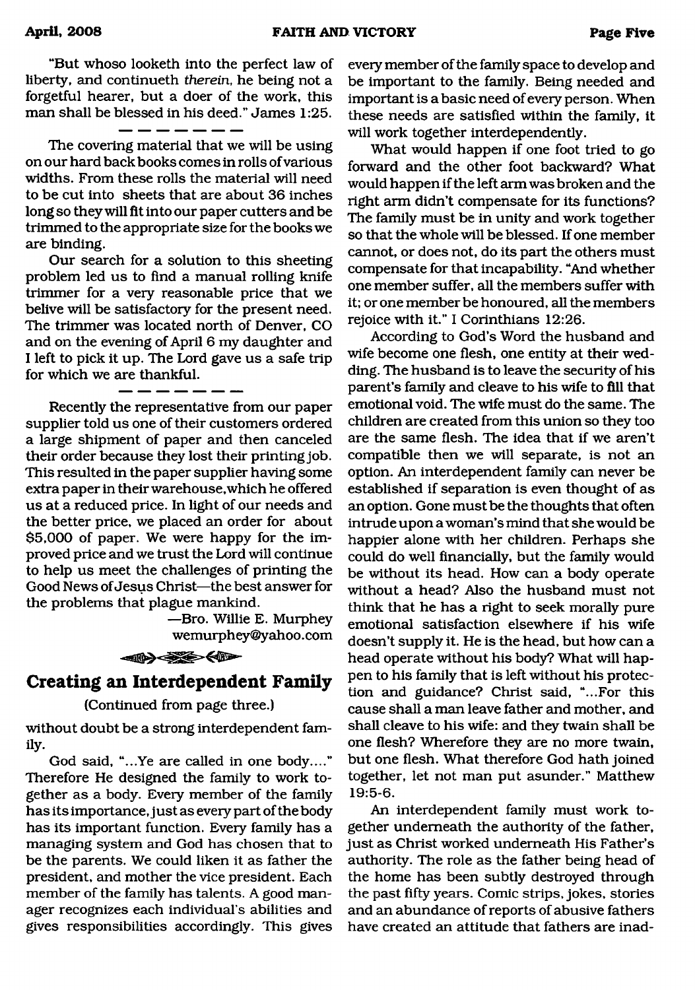"But whoso looketh into the perfect law of liberty, and continueth *therein,* he being not a forgetful hearer, but a doer of the work, this man shall be blessed in his deed." James 1:25.

The covering material that we will be using on our hard back books comes in rolls of various widths. From these rolls the material will need to be cut into sheets that are about 36 inches long so they will fit into our paper cutters and be trimmed to the appropriate size for the books we are binding.

Our search for a solution to this sheeting problem led us to find a manual rolling knife trimmer for a very reasonable price that we belive will be satisfactory for the present need. The trimmer was located north of Denver, CO and on the evening of April 6 my daughter and I left to pick it up. The Lord gave us a safe trip for which we are thankful.

Recently the representative from our paper supplier told us one of their customers ordered a large shipment of paper and then canceled their order because they lost their printing job. This resulted in the paper supplier having some extra paper in their warehouse, which he offered us at a reduced price. In light of our needs and the better price, we placed an order for about \$5,000 of paper. We were happy for the improved price and we trust the Lord will continue to help us meet the challenges of printing the Good News of Jesus Christ—the best answer for the problems that plague mankind.

> —Bro. Willie E. Murphey wemurphey@yahoo. com



### <span id="page-4-0"></span>**Creating an Interdependent Family**

#### (Continued from page three.)

without doubt be a strong interdependent family-

God said, "...Ye are called in one body...." Therefore He designed the family to work together as a body. Every member of the family has its importance, just as every part of the body has its important function. Every family has a managing system and God has chosen that to be the parents. We could liken it as father the president, and mother the vice president. Each member of the family has talents. A good manager recognizes each individual's abilities and gives responsibilities accordingly. This gives

every member of the family space to develop and be important to the family. Being needed and important is a basic need of every person. When these needs are satisfied within the family, it will work together interdependently.

What would happen if one foot tried to go forward and the other foot backward? What would happen if the left arm was broken and the right arm didn't compensate for its functions? The family must be in unity and work together so that the whole will be blessed. If one member cannot, or does not, do its part the others must compensate for that incapability. "And whether one member suffer, all the members suffer with it; or one member be honoured, all the members rejoice with it." I Corinthians 12:26.

According to God's Word the husband and wife become one flesh, one entity at their wedding. The husband is to leave the security of his parent's family and cleave to his wife to fill that emotional void. The wife must do the same. The children are created from this union so they too are the same flesh. The idea that if we aren't compatible then we will separate, is not an option. An interdependent family can never be established if separation is even thought of as an option. Gone must be the thoughts that often intrude upon a woman's mind that she would be happier alone with her children. Perhaps she could do well financially, but the family would be without its head. How can a body operate without a head? Also the husband must not think that he has a right to seek morally pure emotional satisfaction elsewhere if his wife doesn't supply it. He is the head, but how can a head operate without his body? What will happen to his family that is left without his protection and guidance? Christ said, "...For this cause shall a man leave father and mother, and shall cleave to his wife: and they twain shall be one flesh? Wherefore they are no more twain, but one flesh. What therefore God hath joined together, let not man put asunder." Matthew 19:5-6.

An interdependent family must work together underneath the authority of the father, just as Christ worked underneath His Father's authority. The role as the father being head of the home has been subtly destroyed through the past fifty years. Comic strips, jokes, stories and an abundance of reports of abusive fathers have created an attitude that fathers are inad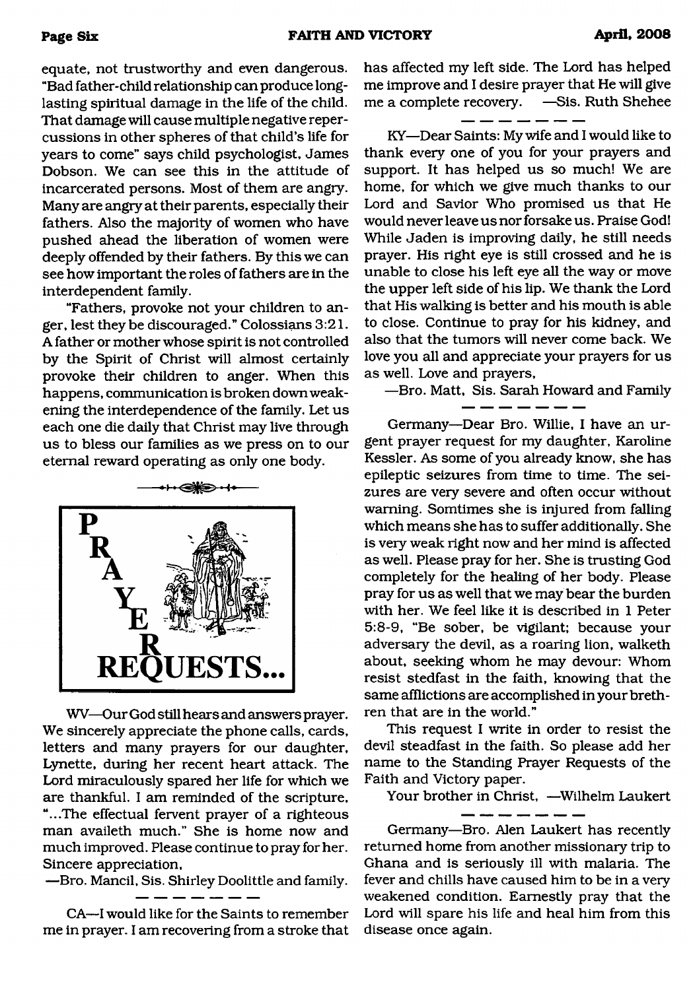equate, not trustworthy and even dangerous. "Bad father-child relationship can produce longlasting spiritual damage in the life of the child. That damage will cause multiple negative repercussions in other spheres of that child's life for years to come" says child psychologist, James Dobson. We can see this in the attitude of incarcerated persons. Most of them are angry. Many are angry at their parents, especially their fathers. Also the majority of women who have pushed ahead the liberation of women were deeply offended by their fathers. By this we can see how important the roles of fathers are in the interdependent family.

"Fathers, provoke not your children to anger, lest they be discouraged." Colossians 3:21. A father or mother whose spirit is not controlled by the Spirit of Christ will almost certainly provoke their children to anger. When this happens, communication is broken down weakening the interdependence of the family. Let us each one die daily that Christ may live through us to bless our families as we press on to our eternal reward operating as only one body.



WV—Our God still hears and answers prayer. We sincerely appreciate the phone calls, cards, letters and many prayers for our daughter, Lynette, during her recent heart attack. The Lord miraculously spared her life for which we are thankful. I am reminded of the scripture, "...The effectual fervent prayer of a righteous man availeth much." She is home now and much improved. Please continue to pray for her. Sincere appreciation,

—Bro. Mancil, Sis. Shirley Doolittle and family.

CA—I would like for the Saints to remember me in prayer. I am recovering from a stroke that has affected my left side. The Lord has helped me improve and I desire prayer that He will give me a complete recovery. —Sis. Ruth Shehee

KY—Dear Saints: My wife and I would like to thank every one of you for your prayers and support. It has helped us so much! We are home, for which we give much thanks to our Lord and Savior Who promised us that He would never leave us nor forsake us. Praise God! While Jaden is improving daily, he still needs prayer. His right eye is still crossed and he is unable to close his left eye all the way or move the upper left side of his lip. We thank the Lord that His walking is better and his mouth is able to close. Continue to pray for his kidney, and also that the tumors will never come back. We love you all and appreciate your prayers for us as well. Love and prayers,

—Bro. Matt, Sis. Sarah Howard and Family

Germany—Dear Bro. Willie, I have an urgent prayer request for my daughter, Karoline Kessler. As some of you already know, she has epileptic seizures from time to time. The seizures are very severe and often occur without warning. Somtimes she is injured from falling which means she has to suffer additionally. She is very weak right now and her mind is affected as well. Please pray for her. She is trusting God completely for the heeding of her body. Please pray for us as well that we may bear the burden with her. We feel like it is described in 1 Peter 5:8-9, "Be sober, be vigilant; because your adversary the devil, as a roaring lion, walketh about, seeking whom he may devour: Whom resist stedfast in the faith, knowing that the same afflictions are accomplished in your brethren that are in the world."

This request I write in order to resist the devil steadfast in the faith. So please add her name to the Standing Prayer Requests of the Faith and Victory paper.

Your brother in Christ, —Wilhelm Laukert

Germany—Bro. Alen Laukert has recently returned home from another missionary trip to Ghana and is seriously ill with malaria. The fever and chills have caused him to be in a very weakened condition. Earnestly pray that the Lord will spare his life and heal him from this disease once again.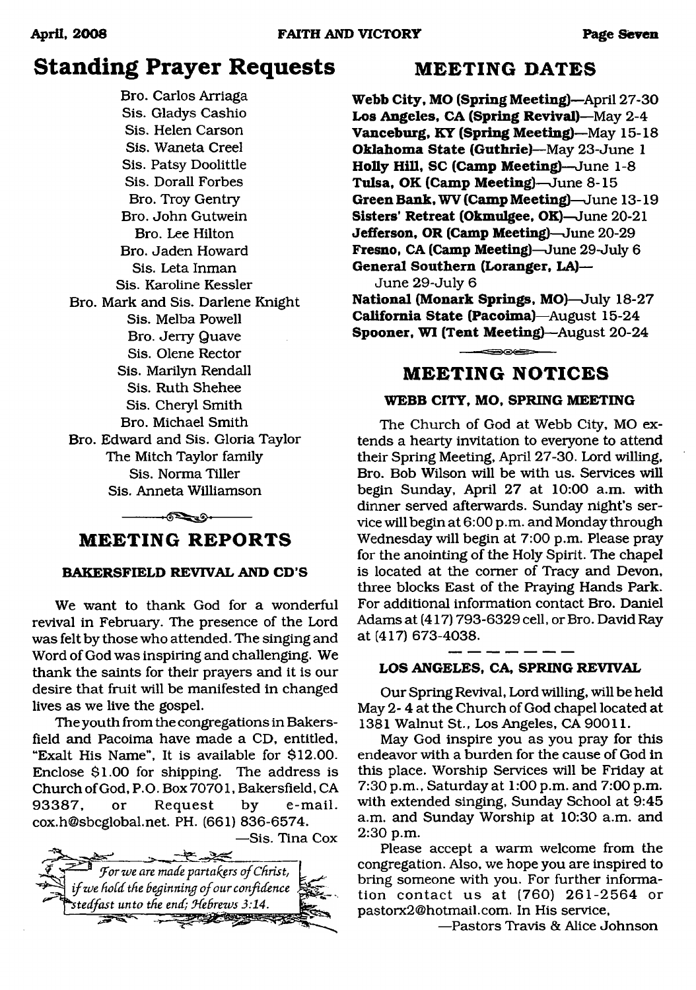## **Standing Prayer Requests MEETING DATES**

Bro. Carlos Arriaga Sis. Gladys Cashio Sis. Helen Carson Sis. Waneta Creel Sis. Patsy Doolittle Sis. Dorall Forbes Bro. Troy Gentry Bro. John Gutwein Bro. Lee Hilton Bro. Jaden Howard Sis. Leta Inman Sis. Karoline Kessler Bro. Mark and Sis. Darlene Knight Sis. Melba Powell Bro. Jerry Quave Sis. Olene Rector Sis. Marilyn Rendall Sis. Ruth Shehee Sis. Cheryl Smith Bro. Michael Smith Bro. Edward and Sis. Gloria Taylor The Mitch Taylor family Sis. Norma Tiller Sis. Anneta Williamson

### ------- ----------------- **M E E T IN G R E P O R T S**

#### **BAKERSFIELD REVIVAL AND CD'S**

We want to thank God for a wonderful revival in February. The presence of the Lord was felt by those who attended. The singing and Word of God was inspiring and challenging. We thank the saints for their prayers and it is our desire that fruit will be manifested in changed lives as we live the gospel.

The youth from the congregations in Bakersfield and Pacoima have made a CD, entitled, "Exalt His Name", It is available for \$12.00. Enclose \$1.00 for shipping. The address is Church of God, P.O. Box 70701, Bakersfield, CA 93387, or Request by e-mail. [cox.h@sbcglobal.net](mailto:cox.h@sbcglobal.net). PH. (661) 836-6574.

—Sis. Tina Cox



**Webb City, MO (Spring Meeting)**—April 27-30 **Los Angeles, CA (Spring Revival)**—May 2-4 **Vanceburg, KY (Spring Meeting)**—May 15-18 **Oklahoma State (Guthrie)**—May 23-June 1 **Holly Hill, SC (Camp Meeting)**—June 1-8 **Tulsa, OK (Camp Meeting)**—June 8-15 **Green Bank, WV (Camp Meeting)**—June 13-19 **Sisters' Retreat (Okmulgee, OK)—**June 20-21 **Jefferson, OR (Camp Meeting)—**June 20-29 **Fresno, CA (Camp Meeting)—**June 29-July 6 **General Southern (Loranger, LA)—** June 29-July 6

**National (Monark Springs, MO)**—July 18-27 **California State (Pacoima)**—August 15-24 **Spooner, WI (Tent Meeting)—August 20-24** 

#### **M E E T IN G N O T IC E S**

#### **WEBB CITY, MO, SPRING MEETING**

The Church of God at Webb City, MO extends a hearty invitation to everyone to attend their Spring Meeting, April 27-30. Lord willing, Bro. Bob Wilson will be with us. Services will begin Sunday, April 27 at 10:00 a.m. with dinner served afterwards. Sunday night's service will begin at 6:00 p.m. and Monday through Wednesday will begin at 7:00 p.m. Please pray for the anointing of the Holy Spirit. The chapel is located at the comer of Tracy and Devon, three blocks East of the Praying Hands Park. For additional information contact Bro. Daniel Adams at (417) 793-6329 cell, or Bro. David Ray at (417) 673-4038.

#### **LOS ANGELES, CA, SPRING REVIVAL**

Our Spring Revival, Lord willing, will be held May 2- 4 at the Church of God chapel located at 1381 Walnut St., Los Angeles, CA 90011.

May God inspire you as you pray for this endeavor with a burden for the cause of God in this place. Worship Services will be Friday at 7:30 p.m., Saturday at 1:00 p.m. and 7:00 p.m. with extended singing, Sunday School at 9:45 a.m. and Sunday Worship at 10:30 a.m. and 2:30 p.m.

Please accept a warm welcome from the congregation. Also, we hope you are inspired to bring someone with you. For further information contact us at (760) 261-2564 or [pastorx2@hotmail.com.](mailto:pastorx2@hotmail.com) In His service,

—Pastors Travis & Alice Johnson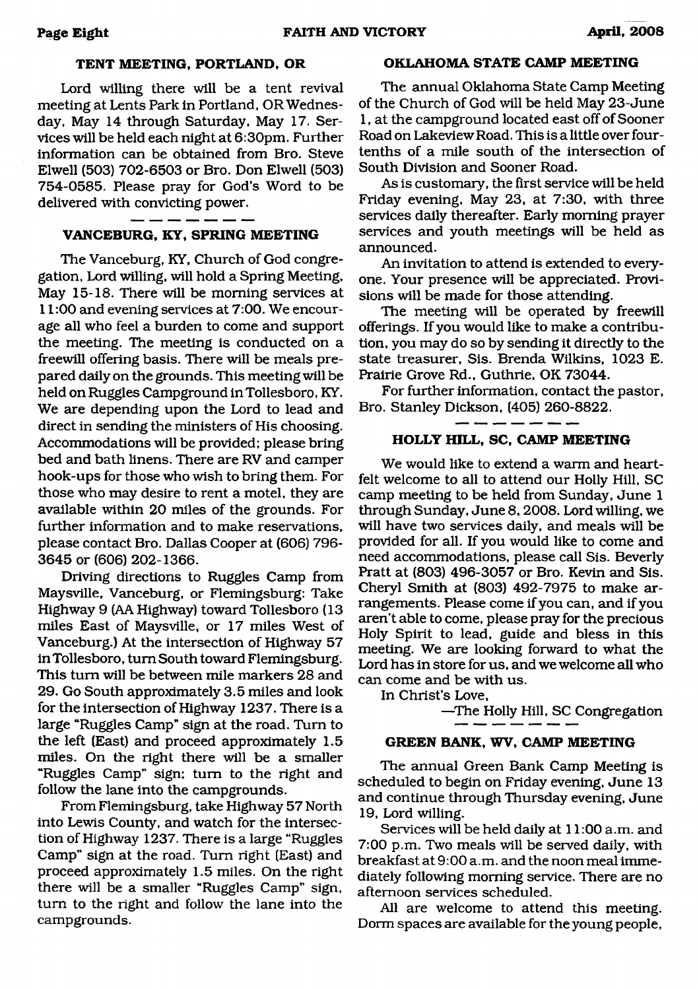#### **TENT MEETING, PORTLAND, OR**

Lord willing there will be a tent revival meeting at Lents Park in Portland, OR Wednesday, May 14 through Saturday, May 17. Services will be held each night at 6:30pm. Further information can be obtained from Bro. Steve Elwell (503) 702-6503 or Bro. Don Elwell (503) 754-0585. Please pray for God's Word to be delivered with convicting power.

#### <u>. . .</u> . **VANCEBURG, KY, SPRING MEETING**

The Vanceburg, KY, Church of God congregation, Lord willing, will hold a Spring Meeting, May 15-18. There will be morning services at 11:00 and evening services at 7:00. We encourage all who feel a burden to come and support the meeting. The meeting is conducted on a freewill offering basis. There will be meals prepared daily on the grounds. This meeting will be held on Ruggles Campground in Tollesboro, KY. We are depending upon the Lord to lead and direct in sending the ministers of His choosing. Accommodations will be provided; please bring bed and bath linens. There are RV and camper hook-ups for those who wish to bring them. For those who may desire to rent a motel, they are available within 20 miles of the grounds. For further information and to make reservations, please contact Bro. Dallas Cooper at (606) 796- 3645 or (606) 202-1366.

Driving directions to Ruggles Camp from Maysville, Vanceburg, or Flemingsburg: Take Highway 9 (AA Highway) toward Tollesboro (13 miles East of Maysville, or 17 miles West of Vanceburg.) At the intersection of Highway 57 inTollesboro, turn South toward Flemingsburg. This turn will be between mile markers 28 and 29. Go South approximately 3.5 miles and look for the intersection of Highway 1237. There is a large "Ruggles Camp" sign at the road. Turn to the left (East) and proceed approximately 1.5 miles. On the right there will be a smaller "Ruggles Camp" sign; turn to the right and follow the lane into the campgrounds.

From Flemingsburg, take Highway 57 North into Lewis County, and watch for the intersection of Highway 1237. There is a large "Ruggles Camp" sign at the road. Turn right (East) and proceed approximately 1.5 miles. On the right there will be a smaller "Ruggles Camp" sign, turn to the right and follow the lane into the campgrounds.

#### **OKLAHOMA STATE CAMP MEETING**

The annual Oklahoma State Camp Meeting of the Church of God will be held May 23-June 1, at the campground located east off of Sooner Road on Lakeview Road. This is a little over fourtenths of a mile south of the intersection of South Division and Sooner Road.

As is customary, the first service will be held Friday evening, May 23, at 7:30, with three services daily thereafter. Early morning prayer services and youth meetings will be held as announced.

An invitation to attend is extended to everyone. Your presence will be appreciated. Provisions will be made for those attending.

The meeting will be operated by freewill offerings. If you would like to make a contribution, you may do so by sending it directly to the state treasurer, Sis. Brenda Wilkins, 1023 E. Prairie Grove Rd., Guthrie, OK 73044.

For further information, contact the pastor, Bro. Stanley Dickson, (405) 260-8822.

#### . ... *... ...* ... **HOLLY HILL, SC, CAMP MEETING**

We would like to extend a warm and heartfelt welcome to all to attend our Holly Hill, SC camp meeting to be held from Sunday, June 1 through Sunday, June 8,2008. Lord willing, we will have two services daily, and meals will be provided for all. If you would like to come and need accommodations, please call Sis. Beverly Pratt at (803) 496-3057 or Bro. Kevin and Sis. Cheryl Smith at  $(803)$  492-7975 to make arrangements. Please come if you can, and if you aren't able to come, please pray for the precious Holy Spirit to lead, guide and bless in this meeting. We are looking forward to what the Lord has in store for us, and we welcome all who can come and be with us.

In Christ's Love,

—The Holly Hill, SC Congregation

#### **GREEN BANK, WV, CAMP MEETING**

The annual Green Bank Camp Meeting is scheduled to begin on Friday evening, June 13 and continue through Thursday evening, June 19, Lord willing.

Services will be held daily at 11:00 a.m. and 7:00 p.m. Two meals will be served daily, with breakfast at 9:00 a.m. and the noon meal immediately following morning service. There are no afternoon services scheduled.

All are welcome to attend this meeting. Dorm spaces are available for the young people,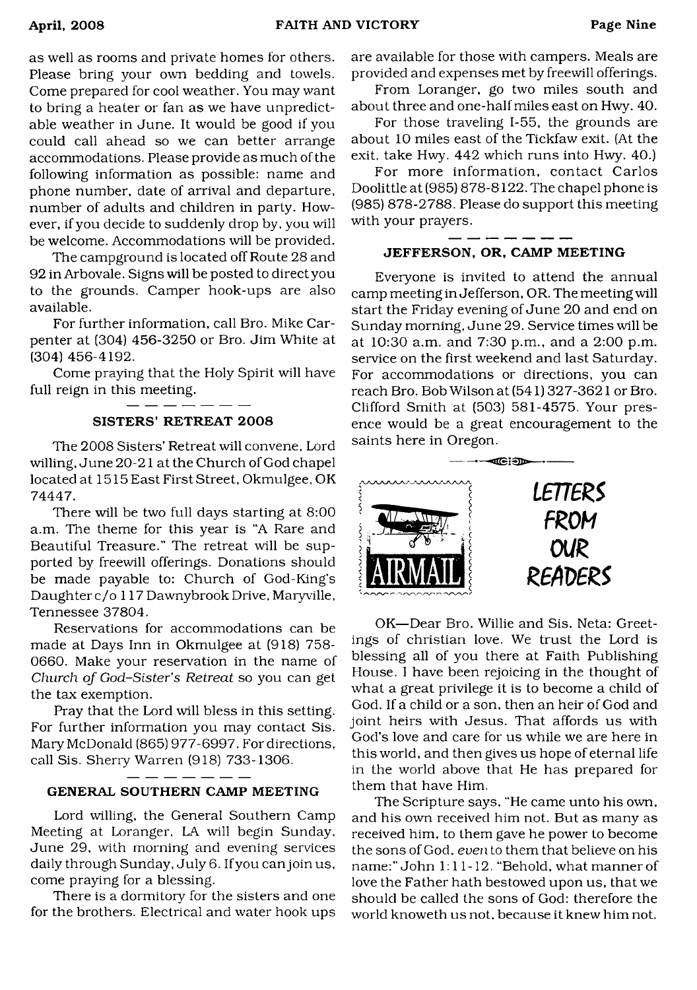as well as rooms and private homes for others. Please bring your own bedding and towels. Come prepared for cool weather. You may want to bring a heater or fan as we have unpredictable weather in June. It would be good if you could call ahead so we can better arrange accommodations. Please provide as much of the following information as possible: name and phone number, date of arrival and departure, number of adults and children in party. However, if you decide to suddenly drop by, you will be welcome. Accommodations will be provided.

The campground is located off Route 28 and 92 in Arbovale. Signs will be posted to direct you to the grounds. Camper hook-ups are also available.

For further information, call Bro. Mike Carpenter at (304) 456-3250 or Bro. Jim White at (304) 456-4192.

Come praying that the Holy Spirit will have full reign in this meeting.

#### SISTERS' RETREAT 2008

The 2008 Sisters' Retreat will convene, Lord willing, June 20-21 at the Church of God chapel located at 1515 East First Street, Okmulgee, OK 74447.

There will be two full days starting at 8:00 a.m. The theme for this year is "A Rare and Beautiful Treasure." The retreat will be supported by freewill offerings. Donations should be made payable to: Church of God-King's Daughter c/o 117 Dawnybrook Drive, Maryville, Tennessee 37804.

Reservations for accommodations can be made at Days Inn in Okmulgee at (918) 758- 0660. Make your reservation in the name of *Church of God-Sister's Retreat* so you can get the tax exemption.

Pray that the Lord will bless in this setting. For further information you may contact Sis. Mary McDonald (865) 977-6997. For directions, call Sis. Sherry Warren (918) 733-1306.

#### GENERAL SOUTHERN CAMP MEETING

------

 $\overline{\phantom{a}}$   $\overline{\phantom{a}}$ 

Lord willing, the General Southern Camp Meeting at Loranger, LA will begin Sunday, June 29, with morning and evening services daily through Sunday, July 6. If you can join us, come praying for a blessing.

There is a dormitory for the sisters and one for the brothers. Electrical and water hook ups are available for those with campers. Meals are provided and expenses met by freewill offerings.

From Loranger, go two miles south and about three and one-half miles east on Hwy. 40.

For those traveling 1-55, the grounds are about 10 miles east of the Tickfaw exit. (At the exit, take Hwy. 442 which runs into Hwy. 40.)

For more information, contact Carlos Doolittle at (985) 878-8122. The chapel phone is (985) 878-2788. Please do support this meeting with your prayers.

#### JEFFERSON, OR, CAMP MEETING

Everyone is invited to attend the annual camp meeting in Jefferson, OR. The meeting will start the Friday evening of June 20 and end on Sunday morning, June 29. Service times will be at 10:30 a.m. and 7:30 p.m., and a 2:00 p.m. service on the first weekend and last Saturday. For accommodations or directions, you can reach Bro. Bob Wilson at (541) 327-3621 or Bro. Clifford Smith at (503) 581-4575. Your presence would be a great encouragement to the saints here in Oregon.



OK—Dear Bro. Willie and Sis. Neta: Greetings of Christian love. We trust the Lord is blessing all of you there at Faith Publishing House. I have been rejoicing in the thought of what a great privilege it is to become a child of God. If a child or a son. then an heir of God and joint heirs with Jesus. That affords us with God's love and care for us while we are here in this world, and then gives us hope of eternal life in the world above that He has prepared for them that have Him.

The Scripture says, "He came unto his own, and his own received him not. But as many as received him, to them gave he power to become the sons of God, *even* to them that believe on his name:" John 1:11-12. "Behold, what manner of love the Father hath bestowed upon us, that we should be called the sons of God: therefore the world knoweth us not. because it knew him not.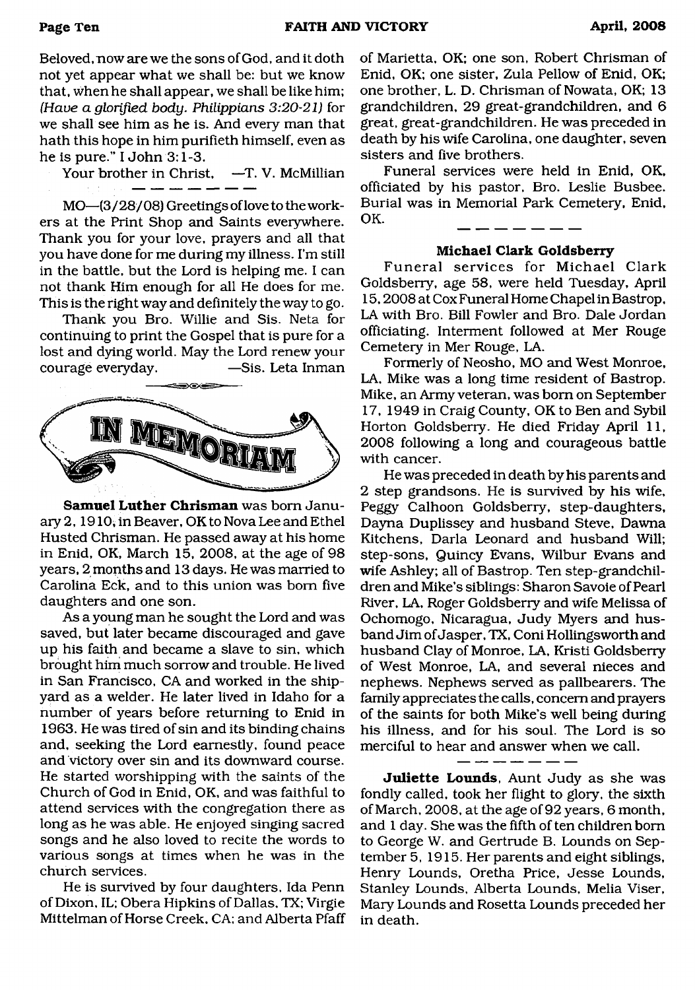Beloved, now are we the sons of God, and it doth not yet appear what we shall be: but we know that, when he shall appear, we shall be like him; *(Have a glorified body. Philippians 3:20-21)* for we shall see him as he is. And every man that hath this hope in him purifieth himself, even as he is pure." I John 3:1-3.

Your brother in Christ, —T. V. McMillian

MO—(3/28/08) Greetings of love to the workers at the Print Shop and Saints everywhere. Thank you for your love, prayers and all that you have done for me during my illness. I'm still in the battle, but the Lord is helping me. I can not thank Him enough for all He does for me. This is the right way and definitely the way to go.

Thank you Bro. Willie and Sis. Neta for continuing to print the Gospel that is pure for a lost and dying world. May the Lord renew your courage everyday. — Sis. Leta Inman



**Samuel Luther Chrisman** was bom January 2,1910; in Beaver, OK to Nova Lee and Ethel Husted Chrisman. He passed away at his home in Enid, OK, March 15, 2008, at the age of 98 years, 2 months and 13 days. He was married to Carolina Eck, and to this union was bom five daughters and one son.

As a young man he sought the Lord and was saved, but later became discouraged and gave up his faith and became a slave to sin, which brought him much sorrow and trouble. He lived in San Francisco, CA and worked in the shipyard as a welder. He later lived in Idaho for a number of years before returning to Enid in 1963. He was tired of sin and its binding chains and, seeking the Lord earnestly, found peace and victory over sin and its downward course. He started worshipping with the saints of the Church of God in Enid, OK, and was faithful to attend services with the congregation there as long as he was able. He enjoyed singing sacred songs and he also loved to recite the words to various songs at times when he was in the church services.

He is survived by four daughters, Ida Penn of Dixon, IL; Obera Hip kins of Dallas, TX; Virgie Mittelman of Horse Creek, CA: and Alberta Pfaff of Marietta, OK; one son, Robert Chrisman of Enid, OK; one sister, Zula Pellow of Enid, OK; one brother, L. D. Chrisman of Nowata, OK; 13 grandchildren, 29 great-grandchildren, and 6 great, great-grandchildren. He was preceded in death by his wife Carolina, one daughter, seven sisters and five brothers.

Funeral services were held in Enid, OK, officiated by his pastor, Bro. Leslie Busbee. Burial was in Memorial Park Cemetery, Enid, OK.

#### **Michael Clark Goldsberry**

Funeral services for Michael Clark Goldsberry, age 58, were held Tuesday, April 15,2008 at Cox Funeral Home Chapel in Bastrop, LA with Bro. Bill Fowler and Bro. Dale Jordan officiating. Interment followed at Mer Rouge Cemetery in Mer Rouge, LA.

Formerly of Neosho, MO and West Monroe, LA, Mike was a long time resident of Bastrop. Mike, an Army veteran, was bom on September 17, 1949 in Craig County, OK to Ben and Sybil Horton Goldsberry. He died Friday April 11, 2008 following a long and courageous battle with cancer.

He was preceded in death by his parents and 2 step grandsons. He is survived by his wife, Peggy Calhoon Goldsberry, step-daughters, Dayna Duplissey and husband Steve, Dawna Kitchens, Darla Leonard and husband Will; step-sons, Quincy Evans, Wilbur Evans and wife Ashley; all of Bastrop. Ten step-grandchildren and Mike's siblings: Sharon Savoie of Pearl River, LA, Roger Goldsberiy and wife Melissa of Ochomogo, Nicaragua, Judy Myers and husband Jim of Jasper, TX, Coni Hollingsworth and husband Clay of Monroe, LA, Kristi Goldsberry of West Monroe, LA, and several nieces and nephews. Nephews served as pallbearers. The family appreciates the calls, concern and prayers of the saints for both Mike's well being during his illness, and for his soul. The Lord is so merciful to hear and answer when we call.

**Juliette Lounds,** Aunt Judy as she was fondly called, took her flight to glory, the sixth of March, 2008, at the age of 92 years, 6 month, and 1 day. She was the fifth of ten children bom to George W. and Gertrude B. Lounds on September 5, 1915. Her parents and eight siblings, Henry Lounds, Oretha Price, Jesse Lounds, Stanley Lounds, Alberta Lounds, Melia Viser, Mary Lounds and Rosetta Lounds preceded her in death.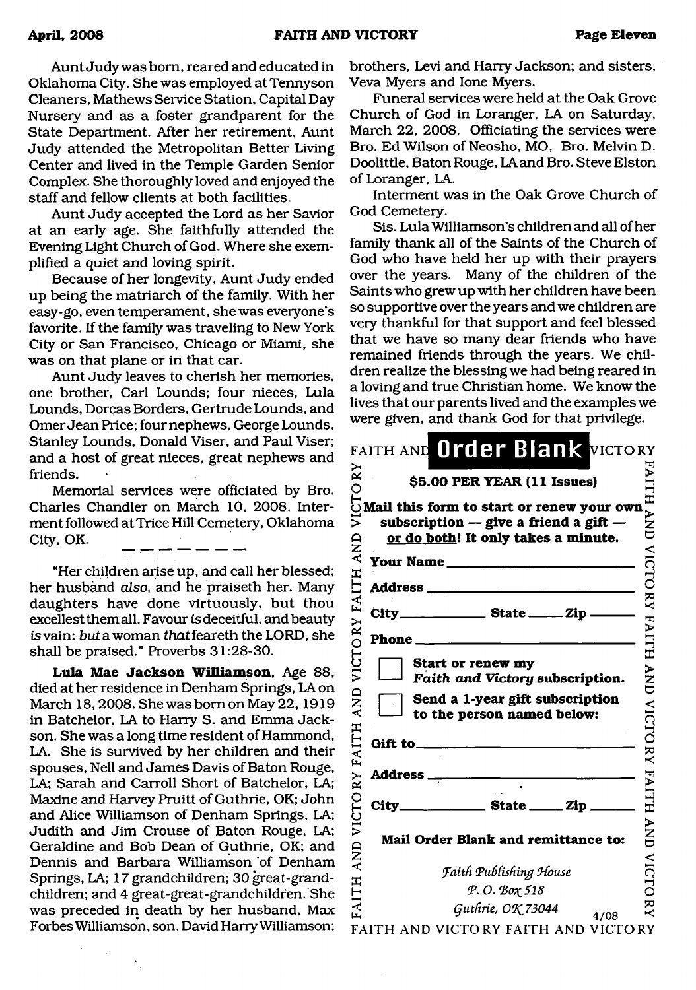Aunt Judy was bom, reared and educated in Oklahoma City. She was employed at Tennyson Cleaners, Mathews Service Station, Capital Day Nursery and as a foster grandparent for the State Department. After her retirement, Aunt Judy attended the Metropolitan Better Living Center and lived in the Temple Garden Senior Complex. She thoroughly loved and enjoyed the staff and fellow clients at both facilities.

Aunt Judy accepted the Lord as her Savior at an early age. She faithfully attended the Evening Light Church of God. Where she exemplified a quiet and loving spirit.

Because of her longevity, Aunt Judy ended up being the matriarch of the family. With her easy-go, even temperament, she was everyone's favorite. If the family was traveling to New York City or San Francisco, Chicago or Miami, she was on that plane or in that car.

Aunt Judy leaves to cherish her memories, one brother, Carl Lounds; four nieces, Lula Lounds, Dorcas Borders, Gertrude Lounds, and Omer Jean Price; four nephews, George Lounds, Stanley Lounds, Donald Viser, and Paul Viser; and a host of great nieces, great nephews and friends.

Memorial services were officiated by Bro. Charles Chandler on March 10, 2008. Interment followed at Trice Hill Cemetery, Oklahoma City, OK.

"Her children arise up, and call her blessed; her husband *also*, and he praiseth her. Many daughters have done virtuously, but thou excellest them all. Favour is deceitful, and beauty *is* vain: *but* a woman *that* feareth the LORD, she shall be praised." Proverbs 31:28-30.

Lula Mae Jackson Williamson, Age 88, died at her residence in Denham Springs, LA on March 18,2008. She was bom on May 22,1919 in Batchelor, LA to Harry S. and Emma Jackson. She was a long time resident of Hammond, LA. She is survived by her children and their spouses, Nell and James Davis of Baton Rouge, LA; Sarah and Carroll Short of Batchelor, LA; Maxine and Harvey Pruitt of Guthrie, OK; John and Alice Williamson of Denham Springs, LA; Judith and Jim Crouse of Baton Rouge, LA; Geraldine and Bob Dean of Guthrie, OK; and Dennis and Barbara Williamson of Denham Springs, LA; 17 grandchildren; 30 great-grandchildren; and 4 great-great-grandchildren. She was preceded in death by her husband, Max Forbes Williamson, son, David Harry Williamson;

brothers, Levi and Harry Jackson; and sisters, Veva Myers and lone Myers.

Funeral services were held at the Oak Grove Church of God in Loranger, LA on Saturday, March 22, 2008. Officiating the services were Bro. Ed Wilson of Neosho, MO, Bro. Melvin D. Doolittle, Baton Rouge, LA and Bro. Steve Elston of Loranger, LA.

Interment was in the Oak Grove Church of God Cemetery.

Sis. Lula Williamson's children and all of her family thank all of the Saints of the Church of God who have held her up with their prayers over the years. Many of the children of the Saints who grew up with her children have been so supportive over the years and we children are very thankful for that support and feel blessed that we have so many dear friends who have remained friends through the years. We children realize the blessing we had being reared in a loving and tme Christian home. We know the lives that our parents lived and the examples we were given, and thank God for that privilege.

| $\stackrel{\sim}{\approx}$ | FAITH AND Order Blank VICTORY                                                                                                                                   |                    |
|----------------------------|-----------------------------------------------------------------------------------------------------------------------------------------------------------------|--------------------|
|                            | \$5.00 PER YEAR (11 Issues)                                                                                                                                     |                    |
| СTО<br>ミ<br>AND            | Mail this form to start or renew your own<br>subscription $-$ give a friend a gift $-$<br>or do both! It only takes a minute.<br><b>Your Name</b> _____________ | $\vec{r}$<br>VICTO |
|                            | Address_                                                                                                                                                        |                    |
| <b>FAITH</b>               | City<br>$\frac{1}{\sqrt{2}}$ State $\frac{1}{\sqrt{2}}$ Zip.                                                                                                    | $\widetilde{R}$    |
|                            | Phone.                                                                                                                                                          | <b>FAITH</b>       |
| VICTORY                    | Start or renew my<br>Faith and Victory subscription.                                                                                                            | $\sum_{i=1}^{n}$   |
| <b>AND</b>                 | Send a 1-year gift subscription<br>to the person named below:                                                                                                   |                    |
| <b>FAITH</b>               | Gift to_                                                                                                                                                        |                    |
| $\tilde{\mathbf{x}}$       | Address.                                                                                                                                                        | VICTORY FAITH      |
|                            | City_<br>$\frac{1}{\sqrt{1-\frac{1}{2}}\sqrt{1-\frac{1}{2}}\sin \frac{1}{2}}$                                                                                   |                    |
| VICTO<br>AND               | Mail Order Blank and remittance to:                                                                                                                             | $\sum_{i=1}^{n}$   |
|                            | <b>Faith Publishing House</b>                                                                                                                                   | <b>VICTO</b>       |
| AITH                       | P. O. Box 518                                                                                                                                                   |                    |
|                            | Guthrie, OK 73044<br>4/08                                                                                                                                       |                    |
|                            | FAITH AND VICTORY FAITH AND VICTORY                                                                                                                             |                    |